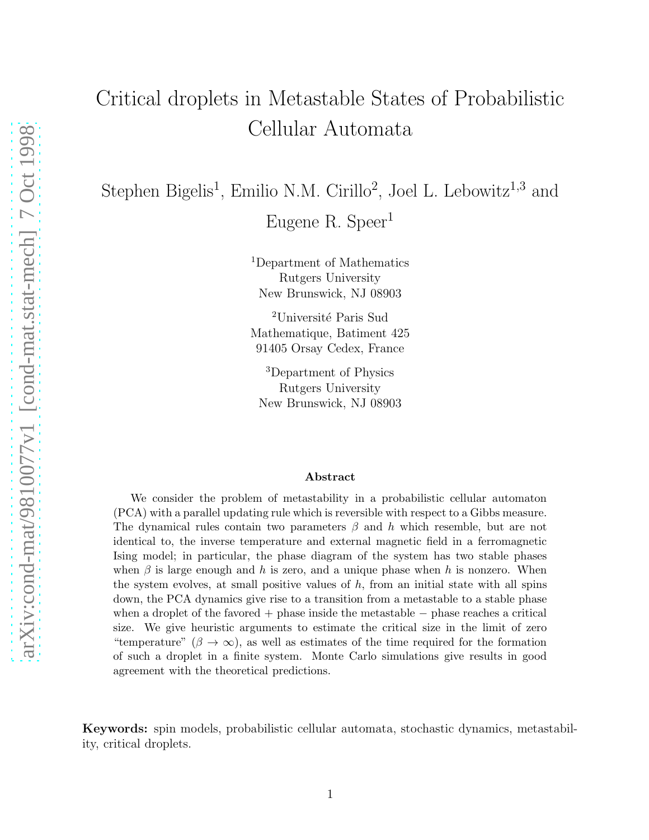# Critical droplets in Metastable States of Probabilistic Cellular Automata

Stephen Bigelis<sup>1</sup>, Emilio N.M. Cirillo<sup>2</sup>, Joel L. Lebowitz<sup>1,3</sup> and Eugene R. Speer<sup>1</sup>

> <sup>1</sup>Department of Mathematics Rutgers University New Brunswick, NJ 08903

> <sup>2</sup>Université Paris Sud Mathematique, Batiment 425 91405 Orsay Cedex, France

<sup>3</sup>Department of Physics Rutgers University New Brunswick, NJ 08903

#### Abstract

We consider the problem of metastability in a probabilistic cellular automaton (PCA) with a parallel updating rule which is reversible with respect to a Gibbs measure. The dynamical rules contain two parameters  $\beta$  and h which resemble, but are not identical to, the inverse temperature and external magnetic field in a ferromagnetic Ising model; in particular, the phase diagram of the system has two stable phases when  $\beta$  is large enough and h is zero, and a unique phase when h is nonzero. When the system evolves, at small positive values of  $h$ , from an initial state with all spins down, the PCA dynamics give rise to a transition from a metastable to a stable phase when a droplet of the favored + phase inside the metastable − phase reaches a critical size. We give heuristic arguments to estimate the critical size in the limit of zero "temperature" ( $\beta \to \infty$ ), as well as estimates of the time required for the formation of such a droplet in a finite system. Monte Carlo simulations give results in good agreement with the theoretical predictions.

Keywords: spin models, probabilistic cellular automata, stochastic dynamics, metastability, critical droplets.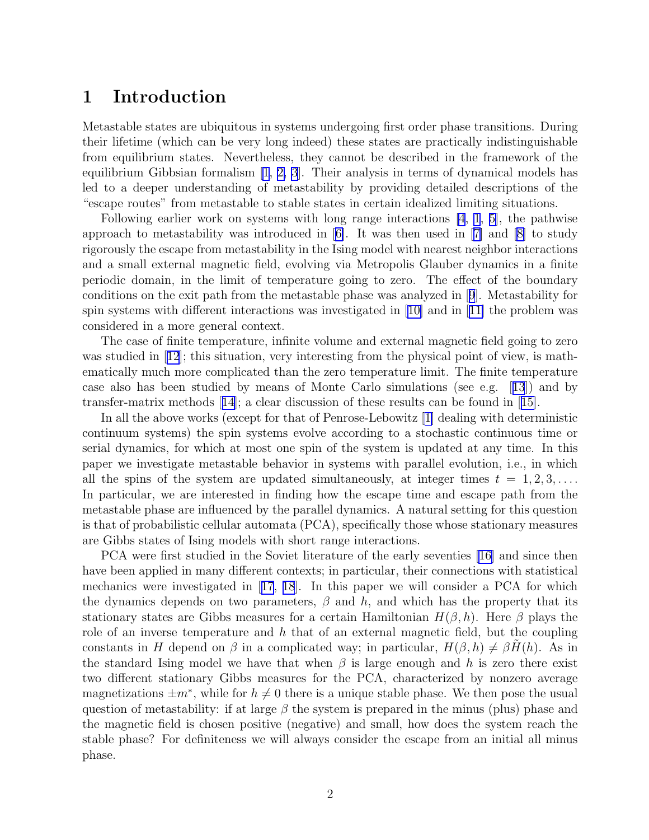#### 1 Introduction

Metastable states are ubiquitous in systems undergoing first order phase transitions. During their lifetime (which can be very long indeed) these states are practically indistinguishable from equilibrium states. Nevertheless, they cannot be described in the framework of the equilibrium Gibbsian formalism [\[1](#page-12-0), [2, 3](#page-12-0)]. Their analysis in terms of dynamical models has led to a deeper understanding of metastability by providing detailed descriptions of the "escape routes" from metastable to stable states in certain idealized limiting situations.

Following earlier work on systems with long range interactions [\[4](#page-12-0), [1](#page-12-0), [5\]](#page-12-0), the pathwise approach to metastability was introduced in[[6\]](#page-12-0). It was then used in[[7\]](#page-12-0) and[[8\]](#page-12-0) to study rigorously the escape from metastability in the Ising model with nearest neighbor interactions and a small external magnetic field, evolving via Metropolis Glauber dynamics in a finite periodic domain, in the limit of temperature going to zero. The effect of the boundary conditions on the exit path from the metastable phase was analyzed in[[9](#page-12-0)]. Metastability for spin systems with different interactions was investigated in[[10\]](#page-12-0) and in [[11\]](#page-12-0) the problem was considered in a more general context.

The case of finite temperature, infinite volume and external magnetic field going to zero wasstudied in [[12](#page-13-0)]; this situation, very interesting from the physical point of view, is mathematically much more complicated than the zero temperature limit. The finite temperature case also has been studied by means of Monte Carlo simulations (see e.g.[[13](#page-13-0)]) and by transfer-matrix methods[[14](#page-13-0)]; a clear discussion of these results can be found in[[15\]](#page-13-0).

In all the above works (except for that of Penrose-Lebowitz[[1\]](#page-12-0) dealing with deterministic continuum systems) the spin systems evolve according to a stochastic continuous time or serial dynamics, for which at most one spin of the system is updated at any time. In this paper we investigate metastable behavior in systems with parallel evolution, i.e., in which all the spins of the system are updated simultaneously, at integer times  $t = 1, 2, 3, \ldots$ . In particular, we are interested in finding how the escape time and escape path from the metastable phase are influenced by the parallel dynamics. A natural setting for this question is that of probabilistic cellular automata (PCA), specifically those whose stationary measures are Gibbs states of Ising models with short range interactions.

PCA were first studied in the Soviet literature of the early seventies [\[16\]](#page-13-0) and since then have been applied in many different contexts; in particular, their connections with statistical mechanics were investigated in[[17](#page-13-0), [18](#page-13-0)]. In this paper we will consider a PCA for which the dynamics depends on two parameters,  $\beta$  and h, and which has the property that its stationary states are Gibbs measures for a certain Hamiltonian  $H(\beta, h)$ . Here  $\beta$  plays the role of an inverse temperature and  $h$  that of an external magnetic field, but the coupling constants in H depend on  $\beta$  in a complicated way; in particular,  $H(\beta, h) \neq \beta H(h)$ . As in the standard Ising model we have that when  $\beta$  is large enough and h is zero there exist two different stationary Gibbs measures for the PCA, characterized by nonzero average magnetizations  $\pm m^*$ , while for  $h \neq 0$  there is a unique stable phase. We then pose the usual question of metastability: if at large  $\beta$  the system is prepared in the minus (plus) phase and the magnetic field is chosen positive (negative) and small, how does the system reach the stable phase? For definiteness we will always consider the escape from an initial all minus phase.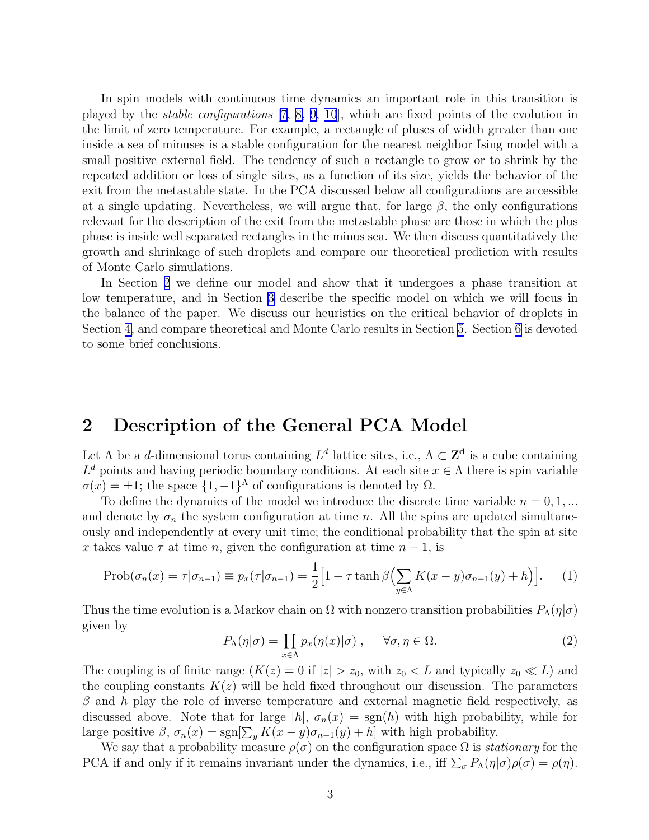<span id="page-2-0"></span>In spin models with continuous time dynamics an important role in this transition is played by the stable configurations [\[7, 8, 9, 10](#page-12-0)], which are fixed points of the evolution in the limit of zero temperature. For example, a rectangle of pluses of width greater than one inside a sea of minuses is a stable configuration for the nearest neighbor Ising model with a small positive external field. The tendency of such a rectangle to grow or to shrink by the repeated addition or loss of single sites, as a function of its size, yields the behavior of the exit from the metastable state. In the PCA discussed below all configurations are accessible at a single updating. Nevertheless, we will argue that, for large  $\beta$ , the only configurations relevant for the description of the exit from the metastable phase are those in which the plus phase is inside well separated rectangles in the minus sea. We then discuss quantitatively the growth and shrinkage of such droplets and compare our theoretical prediction with results of Monte Carlo simulations.

In Section 2 we define our model and show that it undergoes a phase transition at low temperature, and in Section [3](#page-4-0) describe the specific model on which we will focus in the balance of the paper. We discuss our heuristics on the critical behavior of droplets in Section [4,](#page-5-0) and compare theoretical and Monte Carlo results in Section [5.](#page-8-0) Section [6](#page-10-0) is devoted to some brief conclusions.

#### 2 Description of the General PCA Model

Let  $\Lambda$  be a d-dimensional torus containing  $L^d$  lattice sites, i.e.,  $\Lambda \subset \mathbb{Z}^d$  is a cube containing  $L^d$  points and having periodic boundary conditions. At each site  $x \in \Lambda$  there is spin variable  $\sigma(x) = \pm 1$ ; the space  $\{1, -1\}^{\Lambda}$  of configurations is denoted by  $\Omega$ .

To define the dynamics of the model we introduce the discrete time variable  $n = 0, 1, ...$ and denote by  $\sigma_n$  the system configuration at time n. All the spins are updated simultaneously and independently at every unit time; the conditional probability that the spin at site x takes value  $\tau$  at time n, given the configuration at time  $n-1$ , is

$$
\text{Prob}(\sigma_n(x) = \tau | \sigma_{n-1}) \equiv p_x(\tau | \sigma_{n-1}) = \frac{1}{2} \Big[ 1 + \tau \tanh \beta \Big( \sum_{y \in \Lambda} K(x - y) \sigma_{n-1}(y) + h \Big) \Big]. \tag{1}
$$

Thus the time evolution is a Markov chain on  $\Omega$  with nonzero transition probabilities  $P_{\Lambda}(\eta|\sigma)$ given by

$$
P_{\Lambda}(\eta|\sigma) = \prod_{x \in \Lambda} p_x(\eta(x)|\sigma) , \quad \forall \sigma, \eta \in \Omega.
$$
 (2)

The coupling is of finite range  $(K(z) = 0$  if  $|z| > z_0$ , with  $z_0 < L$  and typically  $z_0 \ll L$ ) and the coupling constants  $K(z)$  will be held fixed throughout our discussion. The parameters  $\beta$  and h play the role of inverse temperature and external magnetic field respectively, as discussed above. Note that for large  $|h|$ ,  $\sigma_n(x) = \text{sgn}(h)$  with high probability, while for large positive  $\beta$ ,  $\sigma_n(x) = \text{sgn}[\sum_y K(x-y)\sigma_{n-1}(y) + h]$  with high probability.

We say that a probability measure  $\rho(\sigma)$  on the configuration space  $\Omega$  is *stationary* for the PCA if and only if it remains invariant under the dynamics, i.e., iff  $\sum_{\sigma} P_{\Lambda}(\eta|\sigma)\rho(\sigma) = \rho(\eta)$ .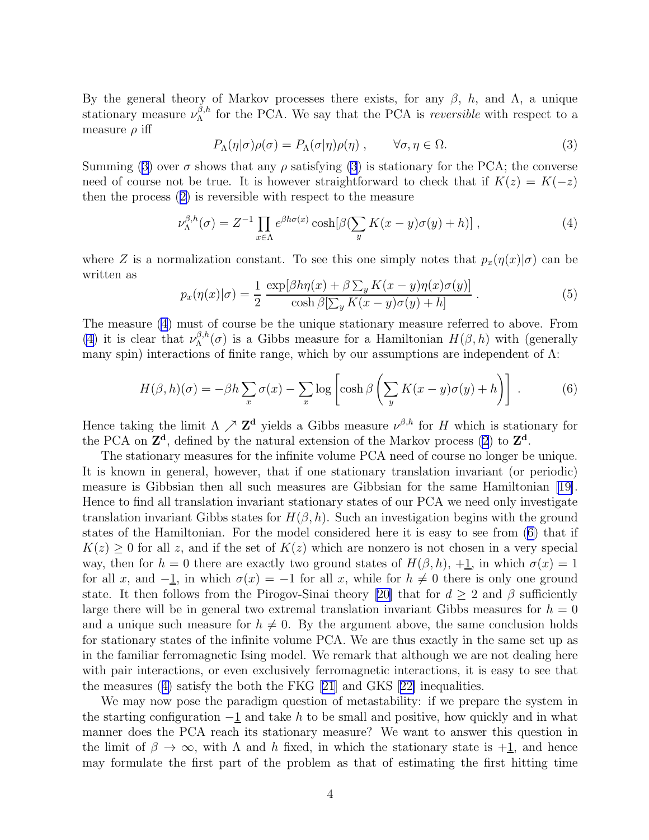<span id="page-3-0"></span>By the general theory of Markov processes there exists, for any  $β$ , h, and Λ, a unique stationary measure  $\nu_{\Lambda}^{\beta,h}$  for the PCA. We say that the PCA is *reversible* with respect to a measure  $\rho$  iff

$$
P_{\Lambda}(\eta|\sigma)\rho(\sigma) = P_{\Lambda}(\sigma|\eta)\rho(\eta) , \qquad \forall \sigma, \eta \in \Omega.
$$
 (3)

Summing (3) over  $\sigma$  shows that any  $\rho$  satisfying (3) is stationary for the PCA; the converse need of course not be true. It is however straightforward to check that if  $K(z) = K(-z)$ then the process([2\)](#page-2-0) is reversible with respect to the measure

$$
\nu_{\Lambda}^{\beta,h}(\sigma) = Z^{-1} \prod_{x \in \Lambda} e^{\beta h \sigma(x)} \cosh[\beta(\sum_{y} K(x-y)\sigma(y) + h)], \qquad (4)
$$

where Z is a normalization constant. To see this one simply notes that  $p_x(\eta(x)|\sigma)$  can be written as

$$
p_x(\eta(x)|\sigma) = \frac{1}{2} \frac{\exp[\beta h\eta(x) + \beta \sum_y K(x - y)\eta(x)\sigma(y)]}{\cosh \beta[\sum_y K(x - y)\sigma(y) + h]}.
$$
 (5)

The measure (4) must of course be the unique stationary measure referred to above. From (4) it is clear that  $\nu_{\Lambda}^{\beta,h}(\sigma)$  is a Gibbs measure for a Hamiltonian  $H(\beta,h)$  with (generally many spin) interactions of finite range, which by our assumptions are independent of  $\Lambda$ :

$$
H(\beta, h)(\sigma) = -\beta h \sum_{x} \sigma(x) - \sum_{x} \log \left[ \cosh \beta \left( \sum_{y} K(x - y) \sigma(y) + h \right) \right] \,. \tag{6}
$$

Hence taking the limit  $\Lambda \nearrow \mathbb{Z}^d$  yields a Gibbs measure  $\nu^{\beta,h}$  for H which is stationary for the PCA on  $\mathbb{Z}^d$ , defined by the natural extension of the Markov process [\(2](#page-2-0)) to  $\mathbb{Z}^d$ .

The stationary measures for the infinite volume PCA need of course no longer be unique. It is known in general, however, that if one stationary translation invariant (or periodic) measure is Gibbsian then all such measures are Gibbsian for the same Hamiltonian [\[19\]](#page-13-0). Hence to find all translation invariant stationary states of our PCA we need only investigate translation invariant Gibbs states for  $H(\beta, h)$ . Such an investigation begins with the ground states of the Hamiltonian. For the model considered here it is easy to see from (6) that if  $K(z) \geq 0$  for all z, and if the set of  $K(z)$  which are nonzero is not chosen in a very special way, then for  $h = 0$  there are exactly two ground states of  $H(\beta, h)$ ,  $+1$ , in which  $\sigma(x) = 1$ for all x, and  $-\underline{1}$ , in which  $\sigma(x) = -1$  for all x, while for  $h \neq 0$  there is only one ground state. It then follows from the Pirogov-Sinai theory [\[20\]](#page-13-0) that for  $d \geq 2$  and  $\beta$  sufficiently large there will be in general two extremal translation invariant Gibbs measures for  $h = 0$ and a unique such measure for  $h \neq 0$ . By the argument above, the same conclusion holds for stationary states of the infinite volume PCA. We are thus exactly in the same set up as in the familiar ferromagnetic Ising model. We remark that although we are not dealing here with pair interactions, or even exclusively ferromagnetic interactions, it is easy to see that the measures (4) satisfy the both the FKG [\[21\]](#page-13-0) and GKS[[22\]](#page-14-0) inequalities.

We may now pose the paradigm question of metastability: if we prepare the system in the starting configuration  $-\underline{1}$  and take h to be small and positive, how quickly and in what manner does the PCA reach its stationary measure? We want to answer this question in the limit of  $\beta \to \infty$ , with  $\Lambda$  and h fixed, in which the stationary state is  $+1$ , and hence may formulate the first part of the problem as that of estimating the first hitting time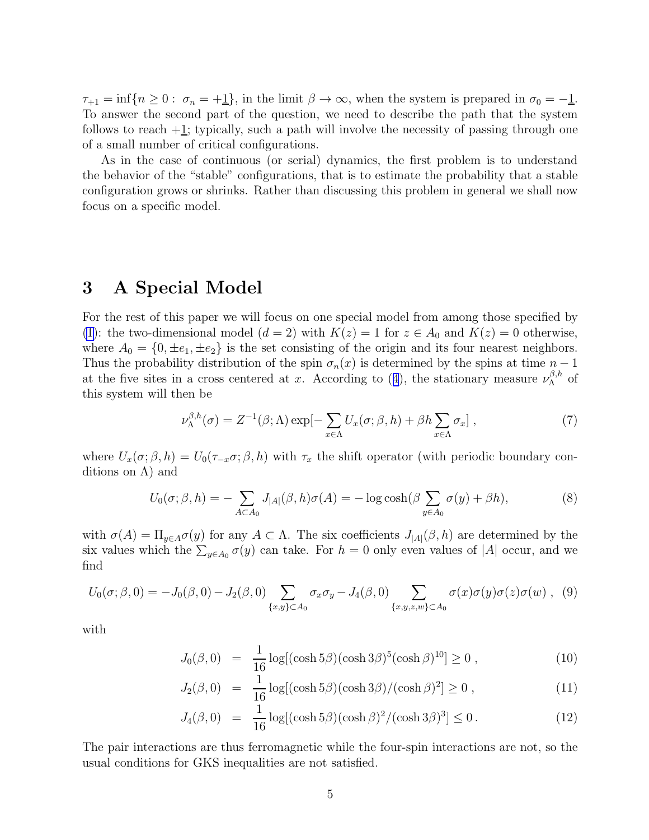<span id="page-4-0"></span> $\tau_{+1} = \inf\{n \geq 0: \sigma_n = +1\},\$ in the limit  $\beta \to \infty$ , when the system is prepared in  $\sigma_0 = -1$ . To answer the second part of the question, we need to describe the path that the system follows to reach  $+1$ ; typically, such a path will involve the necessity of passing through one of a small number of critical configurations.

As in the case of continuous (or serial) dynamics, the first problem is to understand the behavior of the "stable" configurations, that is to estimate the probability that a stable configuration grows or shrinks. Rather than discussing this problem in general we shall now focus on a specific model.

#### 3 A Special Model

For the rest of this paper we will focus on one special model from among those specified by [\(1](#page-2-0)): the two-dimensional model  $(d = 2)$  with  $K(z) = 1$  for  $z \in A_0$  and  $K(z) = 0$  otherwise, where  $A_0 = \{0, \pm e_1, \pm e_2\}$  is the set consisting of the origin and its four nearest neighbors. Thus the probability distribution of the spin  $\sigma_n(x)$  is determined by the spins at time  $n-1$ atthe five sites in a cross centered at x. According to ([4](#page-3-0)), the stationary measure  $\nu_{\Lambda}^{\beta,h}$  of this system will then be

$$
\nu_{\Lambda}^{\beta,h}(\sigma) = Z^{-1}(\beta;\Lambda) \exp[-\sum_{x \in \Lambda} U_x(\sigma;\beta,h) + \beta h \sum_{x \in \Lambda} \sigma_x], \qquad (7)
$$

where  $U_x(\sigma;\beta,h) = U_0(\tau_{-x}\sigma;\beta,h)$  with  $\tau_x$  the shift operator (with periodic boundary conditions on  $\Lambda$ ) and

$$
U_0(\sigma;\beta,h) = -\sum_{A \subset A_0} J_{|A|}(\beta,h)\sigma(A) = -\log \cosh(\beta \sum_{y \in A_0} \sigma(y) + \beta h),\tag{8}
$$

with  $\sigma(A) = \Pi_{y \in A} \sigma(y)$  for any  $A \subset \Lambda$ . The six coefficients  $J_{|A|}(\beta, h)$  are determined by the six values which the  $\sum_{y \in A_0} \sigma(y)$  can take. For  $h = 0$  only even values of |A| occur, and we find

$$
U_0(\sigma;\beta,0) = -J_0(\beta,0) - J_2(\beta,0) \sum_{\{x,y\} \subset A_0} \sigma_x \sigma_y - J_4(\beta,0) \sum_{\{x,y,z,w\} \subset A_0} \sigma(x) \sigma(y) \sigma(z) \sigma(w) , \tag{9}
$$

with

$$
J_0(\beta, 0) = \frac{1}{16} \log[(\cosh 5\beta)(\cosh 3\beta)^5(\cosh \beta)^{10}] \ge 0 , \qquad (10)
$$

$$
J_2(\beta, 0) = \frac{1}{16} \log[(\cosh 5\beta)(\cosh 3\beta) / (\cosh \beta)^2] \ge 0 , \qquad (11)
$$

$$
J_4(\beta, 0) = \frac{1}{16} \log[(\cosh 5\beta)(\cosh \beta)^2/(\cosh 3\beta)^3] \le 0.
$$
 (12)

The pair interactions are thus ferromagnetic while the four-spin interactions are not, so the usual conditions for GKS inequalities are not satisfied.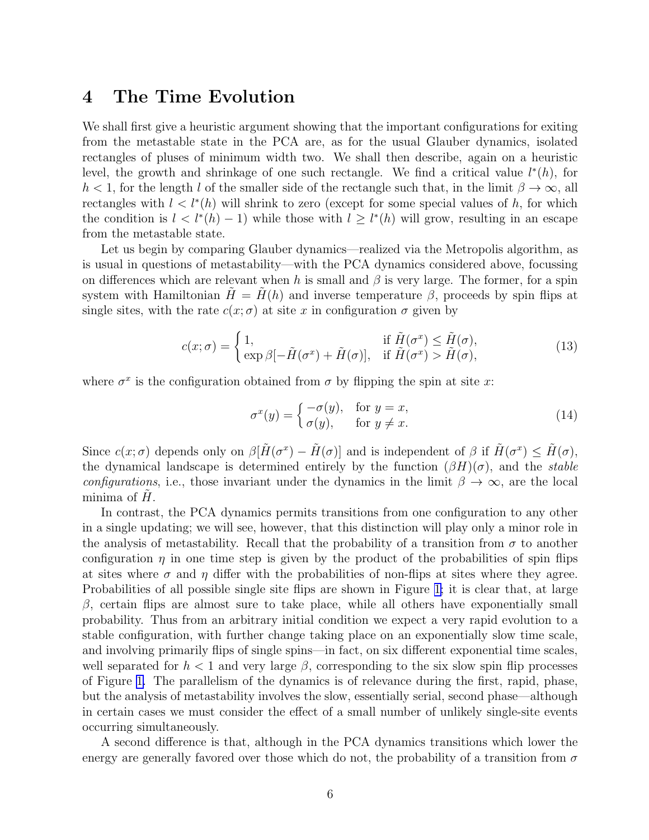#### <span id="page-5-0"></span>4 The Time Evolution

We shall first give a heuristic argument showing that the important configurations for exiting from the metastable state in the PCA are, as for the usual Glauber dynamics, isolated rectangles of pluses of minimum width two. We shall then describe, again on a heuristic level, the growth and shrinkage of one such rectangle. We find a critical value  $l^*(h)$ , for  $h < 1$ , for the length l of the smaller side of the rectangle such that, in the limit  $\beta \to \infty$ , all rectangles with  $l < l^*(h)$  will shrink to zero (except for some special values of h, for which the condition is  $l < l^*(h) - 1$  while those with  $l \geq l^*(h)$  will grow, resulting in an escape from the metastable state.

Let us begin by comparing Glauber dynamics—realized via the Metropolis algorithm, as is usual in questions of metastability—with the PCA dynamics considered above, focussing on differences which are relevant when h is small and  $\beta$  is very large. The former, for a spin system with Hamiltonian  $H = H(h)$  and inverse temperature  $\beta$ , proceeds by spin flips at single sites, with the rate  $c(x; \sigma)$  at site x in configuration  $\sigma$  given by

$$
c(x; \sigma) = \begin{cases} 1, & \text{if } \tilde{H}(\sigma^x) \leq \tilde{H}(\sigma), \\ \exp \beta[-\tilde{H}(\sigma^x) + \tilde{H}(\sigma)], & \text{if } \tilde{H}(\sigma^x) > \tilde{H}(\sigma), \end{cases}
$$
(13)

where  $\sigma^x$  is the configuration obtained from  $\sigma$  by flipping the spin at site x:

$$
\sigma^x(y) = \begin{cases}\n-\sigma(y), & \text{for } y = x, \\
\sigma(y), & \text{for } y \neq x.\n\end{cases}
$$
\n(14)

Since  $c(x;\sigma)$  depends only on  $\beta[\tilde{H}(\sigma^x) - \tilde{H}(\sigma)]$  and is independent of  $\beta$  if  $\tilde{H}(\sigma^x) \leq \tilde{H}(\sigma)$ , the dynamical landscape is determined entirely by the function  $(\beta H)(\sigma)$ , and the stable configurations, i.e., those invariant under the dynamics in the limit  $\beta \to \infty$ , are the local minima of  $H$ .

In contrast, the PCA dynamics permits transitions from one configuration to any other in a single updating; we will see, however, that this distinction will play only a minor role in the analysis of metastability. Recall that the probability of a transition from  $\sigma$  to another configuration  $\eta$  in one time step is given by the product of the probabilities of spin flips at sites where  $\sigma$  and  $\eta$  differ with the probabilities of non-flips at sites where they agree. Probabilities of all possible single site flips are shown in Figure [1;](#page-16-0) it is clear that, at large  $β$ , certain flips are almost sure to take place, while all others have exponentially small probability. Thus from an arbitrary initial condition we expect a very rapid evolution to a stable configuration, with further change taking place on an exponentially slow time scale, and involving primarily flips of single spins—in fact, on six different exponential time scales, well separated for  $h < 1$  and very large  $\beta$ , corresponding to the six slow spin flip processes of Figure [1.](#page-16-0) The parallelism of the dynamics is of relevance during the first, rapid, phase, but the analysis of metastability involves the slow, essentially serial, second phase—although in certain cases we must consider the effect of a small number of unlikely single-site events occurring simultaneously.

A second difference is that, although in the PCA dynamics transitions which lower the energy are generally favored over those which do not, the probability of a transition from  $\sigma$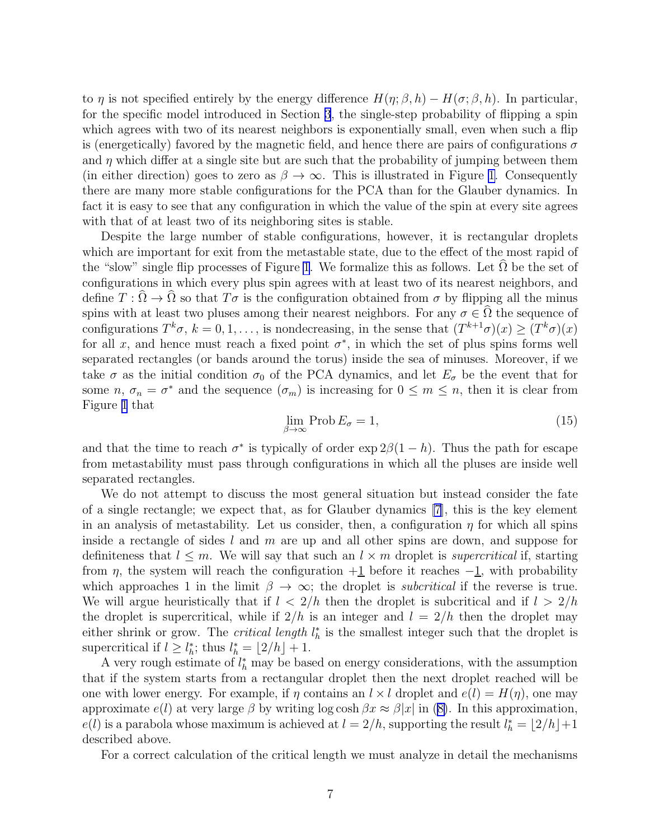to  $\eta$  is not specified entirely by the energy difference  $H(\eta; \beta, h) - H(\sigma; \beta, h)$ . In particular, for the specific model introduced in Section [3](#page-4-0), the single-step probability of flipping a spin which agrees with two of its nearest neighbors is exponentially small, even when such a flip is (energetically) favored by the magnetic field, and hence there are pairs of configurations  $\sigma$ and  $\eta$  which differ at a single site but are such that the probability of jumping between them (in either direction) goes to zero as  $\beta \to \infty$ . This is illustrated in Figure [1.](#page-16-0) Consequently there are many more stable configurations for the PCA than for the Glauber dynamics. In fact it is easy to see that any configuration in which the value of the spin at every site agrees with that of at least two of its neighboring sites is stable.

Despite the large number of stable configurations, however, it is rectangular droplets which are important for exit from the metastable state, due to the effect of the most rapid of the "slow" single flip processes of Figure [1](#page-16-0). We formalize this as follows. Let  $\Omega$  be the set of configurations in which every plus spin agrees with at least two of its nearest neighbors, and define  $T : \Omega \to \Omega$  so that  $T\sigma$  is the configuration obtained from  $\sigma$  by flipping all the minus spins with at least two pluses among their nearest neighbors. For any  $\sigma \in \hat{\Omega}$  the sequence of configurations  $T^k \sigma$ ,  $k = 0, 1, \ldots$ , is nondecreasing, in the sense that  $(T^{k+1} \sigma)(x) \ge (T^k \sigma)(x)$ for all x, and hence must reach a fixed point  $\sigma^*$ , in which the set of plus spins forms well separated rectangles (or bands around the torus) inside the sea of minuses. Moreover, if we take  $\sigma$  as the initial condition  $\sigma_0$  of the PCA dynamics, and let  $E_{\sigma}$  be the event that for some  $n, \sigma_n = \sigma^*$  and the sequence  $(\sigma_m)$  is increasing for  $0 \leq m \leq n$ , then it is clear from Figure [1](#page-16-0) that

$$
\lim_{\beta \to \infty} \text{Prob}\, E_{\sigma} = 1,\tag{15}
$$

and that the time to reach  $\sigma^*$  is typically of order  $\exp 2\beta(1-h)$ . Thus the path for escape from metastability must pass through configurations in which all the pluses are inside well separated rectangles.

We do not attempt to discuss the most general situation but instead consider the fate of a single rectangle; we expect that, as for Glauber dynamics [\[7](#page-12-0)], this is the key element in an analysis of metastability. Let us consider, then, a configuration  $\eta$  for which all spins inside a rectangle of sides  $l$  and  $m$  are up and all other spins are down, and suppose for definiteness that  $l \leq m$ . We will say that such an  $l \times m$  droplet is *supercritical* if, starting from  $\eta$ , the system will reach the configuration  $+1$  before it reaches  $-1$ , with probability which approaches 1 in the limit  $\beta \to \infty$ ; the droplet is *subcritical* if the reverse is true. We will argue heuristically that if  $l < 2/h$  then the droplet is subcritical and if  $l > 2/h$ the droplet is supercritical, while if  $2/h$  is an integer and  $l = 2/h$  then the droplet may either shrink or grow. The *critical length*  $l_h^*$  is the smallest integer such that the droplet is supercritical if  $l \geq l_h^*$ ; thus  $l_h^* = \lfloor 2/h \rfloor + 1$ .

A very rough estimate of  $l_h^*$  may be based on energy considerations, with the assumption that if the system starts from a rectangular droplet then the next droplet reached will be one with lower energy. For example, if  $\eta$  contains an  $l \times l$  droplet and  $e(l) = H(\eta)$ , one may approximate $e(l)$  at very large  $\beta$  by writing log cosh  $\beta x \approx \beta |x|$  in ([8\)](#page-4-0). In this approximation,  $e(l)$  is a parabola whose maximum is achieved at  $l = 2/h$ , supporting the result  $l_h^* = \lfloor 2/h \rfloor + 1$ described above.

For a correct calculation of the critical length we must analyze in detail the mechanisms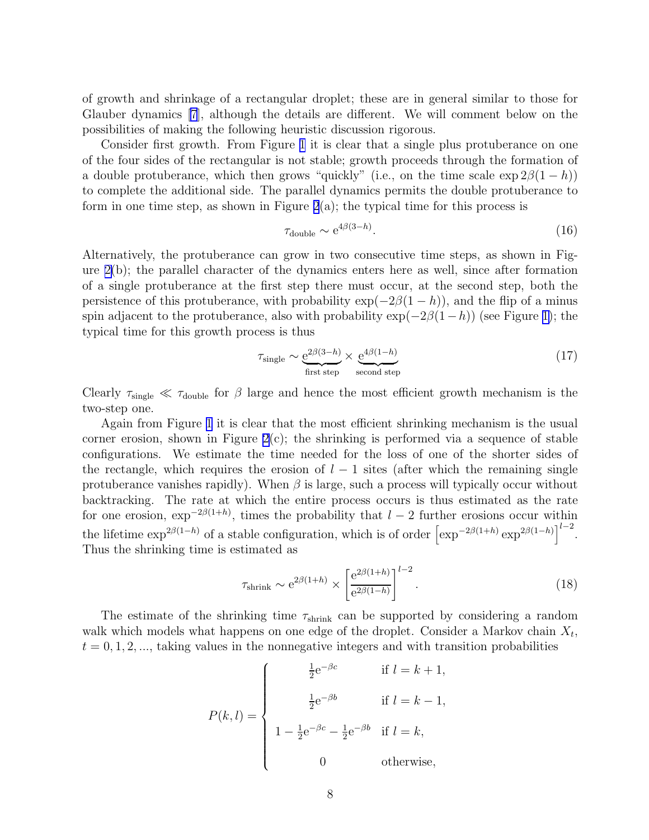<span id="page-7-0"></span>of growth and shrinkage of a rectangular droplet; these are in general similar to those for Glauber dynamics [\[7\]](#page-12-0), although the details are different. We will comment below on the possibilities of making the following heuristic discussion rigorous.

Consider first growth. From Figure [1](#page-16-0) it is clear that a single plus protuberance on one of the four sides of the rectangular is not stable; growth proceeds through the formation of a double protuberance, which then grows "quickly" (i.e., on the time scale  $\exp 2\beta(1-h)$ ) to complete the additional side. The parallel dynamics permits the double protuberance to form in one time step, as shown in Figure  $2(a)$ ; the typical time for this process is

$$
\tau_{\text{double}} \sim e^{4\beta(3-h)}.\tag{16}
$$

Alternatively, the protuberance can grow in two consecutive time steps, as shown in Figure [2\(](#page-17-0)b); the parallel character of the dynamics enters here as well, since after formation of a single protuberance at the first step there must occur, at the second step, both the persistence of this protuberance, with probability  $\exp(-2\beta(1-h))$ , and the flip of a minus spin adjacent to the protuberance, also with probability  $\exp(-2\beta(1-h))$  (see Figure [1\)](#page-16-0); the typical time for this growth process is thus

$$
\tau_{\text{single}} \sim \underbrace{e^{2\beta(3-h)}}_{\text{first step}} \times \underbrace{e^{4\beta(1-h)}}_{\text{second step}}
$$
\n(17)

Clearly  $\tau_{\text{single}} \ll \tau_{\text{double}}$  for  $\beta$  large and hence the most efficient growth mechanism is the two-step one.

Again from Figure [1](#page-16-0) it is clear that the most efficient shrinking mechanism is the usual corner erosion, shown in Figure  $2(c)$ ; the shrinking is performed via a sequence of stable configurations. We estimate the time needed for the loss of one of the shorter sides of the rectangle, which requires the erosion of  $l-1$  sites (after which the remaining single protuberance vanishes rapidly). When  $\beta$  is large, such a process will typically occur without backtracking. The rate at which the entire process occurs is thus estimated as the rate for one erosion,  $\exp^{-2\beta(1+h)}$ , times the probability that  $l-2$  further erosions occur within the lifetime  $\exp^{2\beta(1-h)}$  of a stable configuration, which is of order  $\left[\exp^{-2\beta(1+h)} \exp^{2\beta(1-h)}\right]^{l-2}$ . Thus the shrinking time is estimated as

$$
\tau_{\text{shrink}} \sim e^{2\beta(1+h)} \times \left[ \frac{e^{2\beta(1+h)}}{e^{2\beta(1-h)}} \right]^{l-2}.
$$
\n(18)

The estimate of the shrinking time  $\tau_{\text{shrink}}$  can be supported by considering a random walk which models what happens on one edge of the droplet. Consider a Markov chain  $X_t$ ,  $t = 0, 1, 2, \dots$ , taking values in the nonnegative integers and with transition probabilities

$$
P(k,l) = \begin{cases} \frac{1}{2}e^{-\beta c} & \text{if } l = k+1, \\ \frac{1}{2}e^{-\beta b} & \text{if } l = k-1, \\ 1 - \frac{1}{2}e^{-\beta c} - \frac{1}{2}e^{-\beta b} & \text{if } l = k, \\ 0 & \text{otherwise,} \end{cases}
$$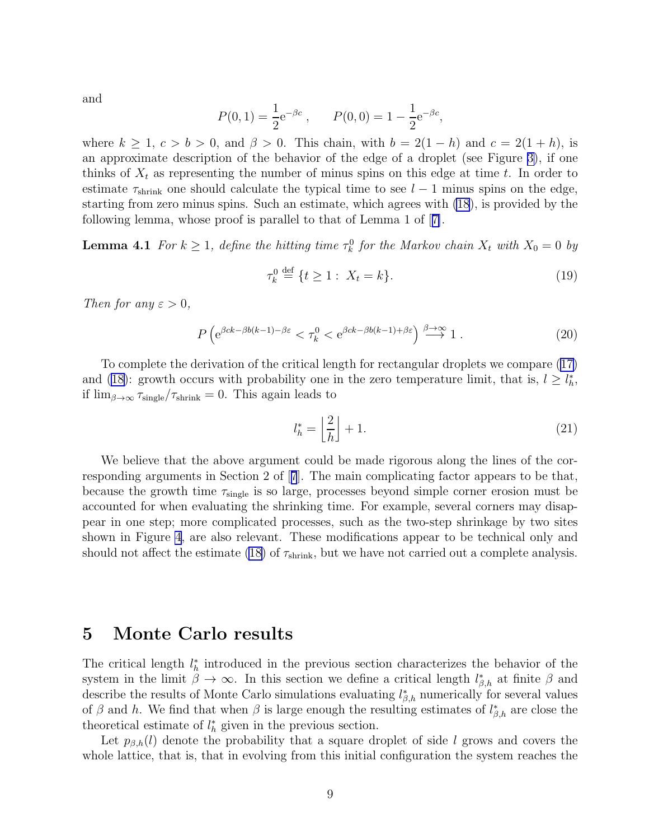<span id="page-8-0"></span>and

$$
P(0, 1) = \frac{1}{2}e^{-\beta c}
$$
,  $P(0, 0) = 1 - \frac{1}{2}e^{-\beta c}$ ,

where  $k \geq 1$ ,  $c > b > 0$ , and  $\beta > 0$ . This chain, with  $b = 2(1 - h)$  and  $c = 2(1 + h)$ , is an approximate description of the behavior of the edge of a droplet (see Figure [3\)](#page-18-0), if one thinks of  $X_t$  as representing the number of minus spins on this edge at time t. In order to estimate  $\tau_{\text{shrink}}$  one should calculate the typical time to see  $l-1$  minus spins on the edge, starting from zero minus spins. Such an estimate, which agrees with [\(18](#page-7-0)), is provided by the following lemma, whose proof is parallel to that of Lemma 1 of[[7\]](#page-12-0).

**Lemma 4.1** For  $k \geq 1$ , define the hitting time  $\tau_k^0$  for the Markov chain  $X_t$  with  $X_0 = 0$  by

$$
\tau_k^0 \stackrel{\text{def}}{=} \{t \ge 1: X_t = k\}. \tag{19}
$$

Then for any  $\varepsilon > 0$ ,

$$
P\left(e^{\beta ck - \beta b(k-1) - \beta \varepsilon} < \tau_k^0 < e^{\beta ck - \beta b(k-1) + \beta \varepsilon}\right) \xrightarrow{\beta \to \infty} 1. \tag{20}
$$

To complete the derivation of the critical length for rectangular droplets we compare [\(17\)](#page-7-0) and [\(18](#page-7-0)): growth occurs with probability one in the zero temperature limit, that is,  $l \geq l_h^*$ , if  $\lim_{\beta \to \infty} \tau_{\text{single}} / \tau_{\text{shrink}} = 0$ . This again leads to

$$
l_h^* = \left\lfloor \frac{2}{h} \right\rfloor + 1. \tag{21}
$$

We believe that the above argument could be made rigorous along the lines of the corresponding arguments in Section 2 of[[7](#page-12-0)]. The main complicating factor appears to be that, because the growth time  $\tau_{\text{single}}$  is so large, processes beyond simple corner erosion must be accounted for when evaluating the shrinking time. For example, several corners may disappear in one step; more complicated processes, such as the two-step shrinkage by two sites shown in Figure [4](#page-19-0), are also relevant. These modifications appear to be technical only and should not affect the estimate [\(18\)](#page-7-0) of  $\tau_{\text{shrink}}$ , but we have not carried out a complete analysis.

#### 5 Monte Carlo results

The critical length  $l_h^*$  introduced in the previous section characterizes the behavior of the system in the limit  $\beta \to \infty$ . In this section we define a critical length  $l_{\beta,h}^*$  at finite  $\beta$  and describe the results of Monte Carlo simulations evaluating  $l_{\beta,h}^*$  numerically for several values of  $\beta$  and h. We find that when  $\beta$  is large enough the resulting estimates of  $l_{\beta,h}^*$  are close the theoretical estimate of  $l_h^*$  given in the previous section.

Let  $p_{\beta,h}(l)$  denote the probability that a square droplet of side l grows and covers the whole lattice, that is, that in evolving from this initial configuration the system reaches the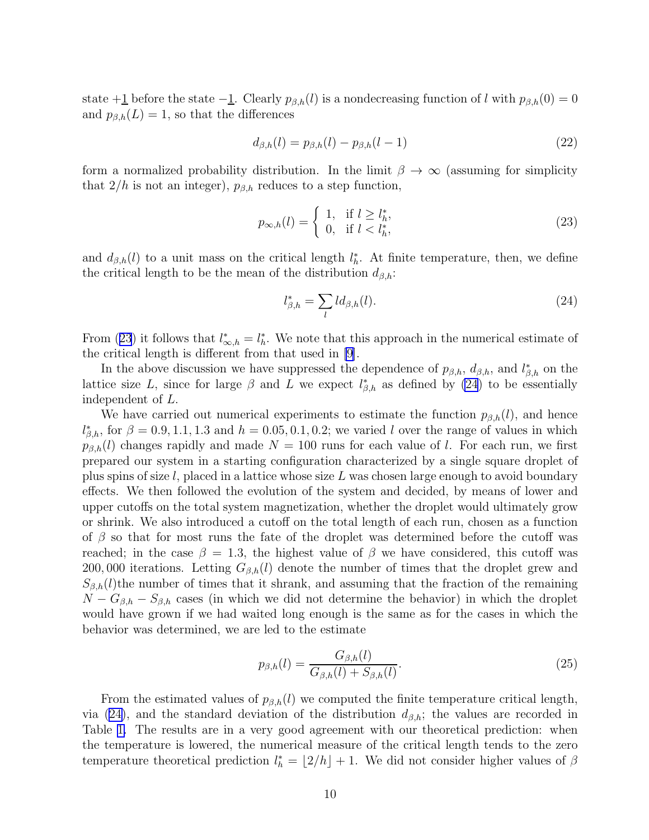state +1 before the state  $-1$ . Clearly  $p_{\beta,h}(l)$  is a nondecreasing function of l with  $p_{\beta,h}(0) = 0$ and  $p_{\beta,h}(L) = 1$ , so that the differences

$$
d_{\beta,h}(l) = p_{\beta,h}(l) - p_{\beta,h}(l-1)
$$
\n(22)

form a normalized probability distribution. In the limit  $\beta \to \infty$  (assuming for simplicity that  $2/h$  is not an integer),  $p_{\beta,h}$  reduces to a step function,

$$
p_{\infty,h}(l) = \begin{cases} 1, & \text{if } l \ge l_h^*, \\ 0, & \text{if } l < l_h^*, \end{cases} \tag{23}
$$

and  $d_{\beta,h}(l)$  to a unit mass on the critical length  $l_h^*$ . At finite temperature, then, we define the critical length to be the mean of the distribution  $d_{\beta,h}$ :

$$
l_{\beta,h}^* = \sum_l l d_{\beta,h}(l). \tag{24}
$$

From (23) it follows that  $l_{\infty,h}^* = l_h^*$ . We note that this approach in the numerical estimate of the critical length is different from that used in [\[9](#page-12-0)].

In the above discussion we have suppressed the dependence of  $p_{\beta,h}$ ,  $d_{\beta,h}$ , and  $l_{\beta,h}^*$  on the lattice size L, since for large  $\beta$  and L we expect  $l_{\beta,h}^*$  as defined by (24) to be essentially independent of L.

We have carried out numerical experiments to estimate the function  $p_{\beta,h}(l)$ , and hence  $l_{\beta,h}^*$ , for  $\beta = 0.9, 1.1, 1.3$  and  $h = 0.05, 0.1, 0.2$ ; we varied l over the range of values in which  $p_{\beta,h}(l)$  changes rapidly and made  $N = 100$  runs for each value of l. For each run, we first prepared our system in a starting configuration characterized by a single square droplet of plus spins of size  $l$ , placed in a lattice whose size L was chosen large enough to avoid boundary effects. We then followed the evolution of the system and decided, by means of lower and upper cutoffs on the total system magnetization, whether the droplet would ultimately grow or shrink. We also introduced a cutoff on the total length of each run, chosen as a function of  $\beta$  so that for most runs the fate of the droplet was determined before the cutoff was reached; in the case  $\beta = 1.3$ , the highest value of  $\beta$  we have considered, this cutoff was 200, 000 iterations. Letting  $G_{\beta,h}(l)$  denote the number of times that the droplet grew and  $S_{\beta,h}(l)$  the number of times that it shrank, and assuming that the fraction of the remaining  $N - G_{\beta,h} - S_{\beta,h}$  cases (in which we did not determine the behavior) in which the droplet would have grown if we had waited long enough is the same as for the cases in which the behavior was determined, we are led to the estimate

$$
p_{\beta,h}(l) = \frac{G_{\beta,h}(l)}{G_{\beta,h}(l) + S_{\beta,h}(l)}.\tag{25}
$$

From the estimated values of  $p_{\beta,h}(l)$  we computed the finite temperature critical length, via (24), and the standard deviation of the distribution  $d_{\beta,h}$ ; the values are recorded in Table [1.](#page-15-0) The results are in a very good agreement with our theoretical prediction: when the temperature is lowered, the numerical measure of the critical length tends to the zero temperature theoretical prediction  $l_h^* = \lfloor 2/h \rfloor + 1$ . We did not consider higher values of  $\beta$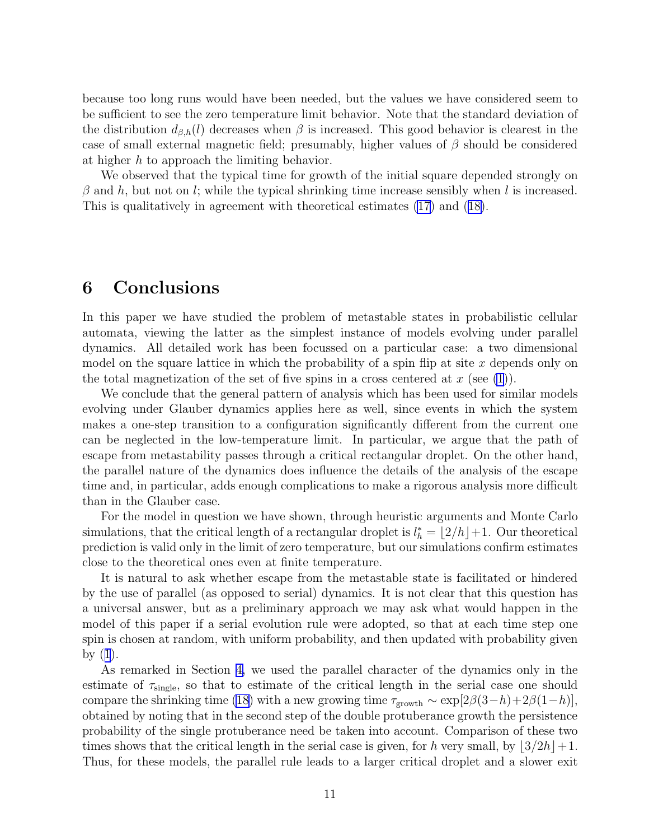<span id="page-10-0"></span>because too long runs would have been needed, but the values we have considered seem to be sufficient to see the zero temperature limit behavior. Note that the standard deviation of the distribution  $d_{\beta,h}(l)$  decreases when  $\beta$  is increased. This good behavior is clearest in the case of small external magnetic field; presumably, higher values of  $\beta$  should be considered at higher h to approach the limiting behavior.

We observed that the typical time for growth of the initial square depended strongly on  $\beta$  and h, but not on l; while the typical shrinking time increase sensibly when l is increased. This is qualitatively in agreement with theoretical estimates [\(17](#page-7-0)) and ([18\)](#page-7-0).

### 6 Conclusions

In this paper we have studied the problem of metastable states in probabilistic cellular automata, viewing the latter as the simplest instance of models evolving under parallel dynamics. All detailed work has been focussed on a particular case: a two dimensional model on the square lattice in which the probability of a spin flip at site  $x$  depends only on the total magnetization of the set of five spins in a cross centered at  $x$  (see [\(1](#page-2-0))).

We conclude that the general pattern of analysis which has been used for similar models evolving under Glauber dynamics applies here as well, since events in which the system makes a one-step transition to a configuration significantly different from the current one can be neglected in the low-temperature limit. In particular, we argue that the path of escape from metastability passes through a critical rectangular droplet. On the other hand, the parallel nature of the dynamics does influence the details of the analysis of the escape time and, in particular, adds enough complications to make a rigorous analysis more difficult than in the Glauber case.

For the model in question we have shown, through heuristic arguments and Monte Carlo simulations, that the critical length of a rectangular droplet is  $l_h^* = \lfloor 2/h \rfloor + 1$ . Our theoretical prediction is valid only in the limit of zero temperature, but our simulations confirm estimates close to the theoretical ones even at finite temperature.

It is natural to ask whether escape from the metastable state is facilitated or hindered by the use of parallel (as opposed to serial) dynamics. It is not clear that this question has a universal answer, but as a preliminary approach we may ask what would happen in the model of this paper if a serial evolution rule were adopted, so that at each time step one spin is chosen at random, with uniform probability, and then updated with probability given by $(1)$  $(1)$  $(1)$ .

As remarked in Section [4,](#page-5-0) we used the parallel character of the dynamics only in the estimate of  $\tau_{single}$ , so that to estimate of the critical length in the serial case one should compare the shrinking time [\(18\)](#page-7-0) with a new growing time  $\tau_{\text{growth}} \sim \exp[2\beta(3-h)+2\beta(1-h)],$ obtained by noting that in the second step of the double protuberance growth the persistence probability of the single protuberance need be taken into account. Comparison of these two times shows that the critical length in the serial case is given, for h very small, by  $\left|3/2h\right|+1$ . Thus, for these models, the parallel rule leads to a larger critical droplet and a slower exit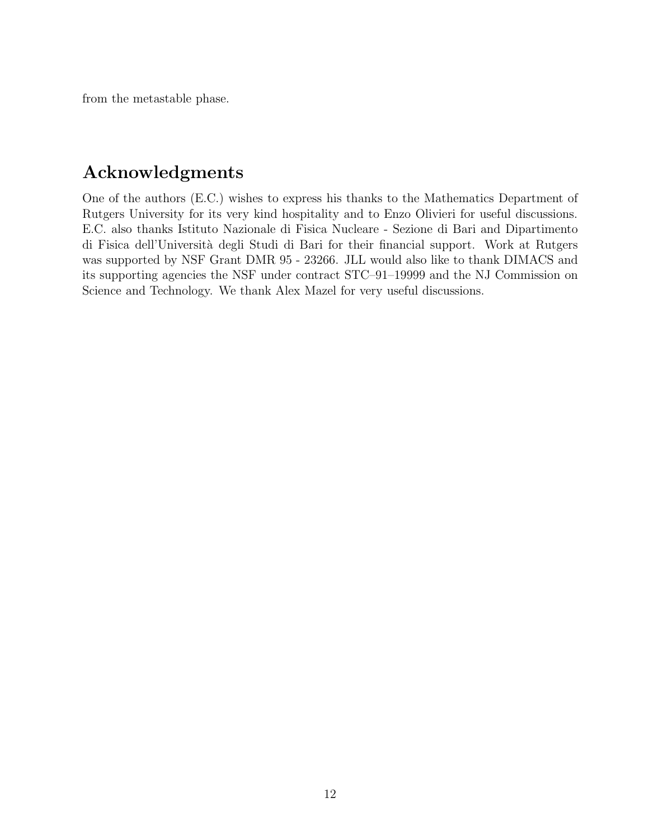from the metastable phase.

# Acknowledgments

One of the authors (E.C.) wishes to express his thanks to the Mathematics Department of Rutgers University for its very kind hospitality and to Enzo Olivieri for useful discussions. E.C. also thanks Istituto Nazionale di Fisica Nucleare - Sezione di Bari and Dipartimento di Fisica dell'Università degli Studi di Bari for their financial support. Work at Rutgers was supported by NSF Grant DMR 95 - 23266. JLL would also like to thank DIMACS and its supporting agencies the NSF under contract STC–91–19999 and the NJ Commission on Science and Technology. We thank Alex Mazel for very useful discussions.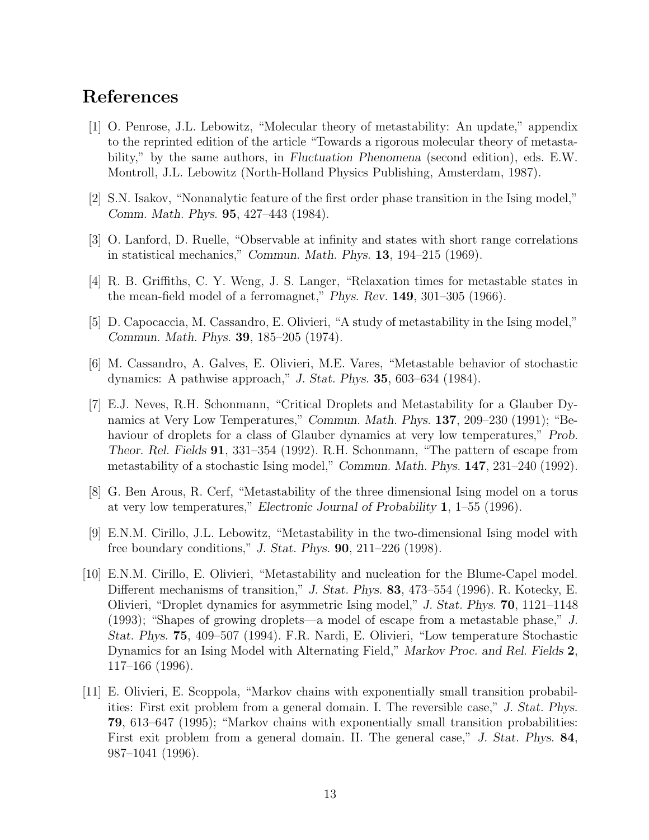## <span id="page-12-0"></span>References

- [1] O. Penrose, J.L. Lebowitz, "Molecular theory of metastability: An update," appendix to the reprinted edition of the article "Towards a rigorous molecular theory of metastability," by the same authors, in *Fluctuation Phenomena* (second edition), eds. E.W. Montroll, J.L. Lebowitz (North-Holland Physics Publishing, Amsterdam, 1987).
- [2] S.N. Isakov, "Nonanalytic feature of the first order phase transition in the Ising model," *Comm. Math. Phys.* 95, 427–443 (1984).
- [3] O. Lanford, D. Ruelle, "Observable at infinity and states with short range correlations in statistical mechanics," *Commun. Math. Phys.* 13, 194–215 (1969).
- [4] R. B. Griffiths, C. Y. Weng, J. S. Langer, "Relaxation times for metastable states in the mean-field model of a ferromagnet," *Phys. Rev.* 149, 301–305 (1966).
- [5] D. Capocaccia, M. Cassandro, E. Olivieri, "A study of metastability in the Ising model," *Commun. Math. Phys.* 39, 185–205 (1974).
- [6] M. Cassandro, A. Galves, E. Olivieri, M.E. Vares, "Metastable behavior of stochastic dynamics: A pathwise approach," *J. Stat. Phys.* 35, 603–634 (1984).
- [7] E.J. Neves, R.H. Schonmann, "Critical Droplets and Metastability for a Glauber Dynamics at Very Low Temperatures," *Commun. Math. Phys.* 137, 209–230 (1991); "Behaviour of droplets for a class of Glauber dynamics at very low temperatures," *Prob. Theor. Rel. Fields* 91, 331–354 (1992). R.H. Schonmann, "The pattern of escape from metastability of a stochastic Ising model," *Commun. Math. Phys.* 147, 231–240 (1992).
- [8] G. Ben Arous, R. Cerf, "Metastability of the three dimensional Ising model on a torus at very low temperatures," *Electronic Journal of Probability* 1, 1–55 (1996).
- [9] E.N.M. Cirillo, J.L. Lebowitz, "Metastability in the two-dimensional Ising model with free boundary conditions," *J. Stat. Phys.* 90, 211–226 (1998).
- [10] E.N.M. Cirillo, E. Olivieri, "Metastability and nucleation for the Blume-Capel model. Different mechanisms of transition," *J. Stat. Phys.* 83, 473–554 (1996). R. Kotecky, E. Olivieri, "Droplet dynamics for asymmetric Ising model," *J. Stat. Phys.* 70, 1121–1148 (1993); "Shapes of growing droplets—a model of escape from a metastable phase," *J. Stat. Phys.* 75, 409–507 (1994). F.R. Nardi, E. Olivieri, "Low temperature Stochastic Dynamics for an Ising Model with Alternating Field," *Markov Proc. and Rel. Fields* 2, 117–166 (1996).
- [11] E. Olivieri, E. Scoppola, "Markov chains with exponentially small transition probabilities: First exit problem from a general domain. I. The reversible case," *J. Stat. Phys.* 79, 613–647 (1995); "Markov chains with exponentially small transition probabilities: First exit problem from a general domain. II. The general case," *J. Stat. Phys.* 84, 987–1041 (1996).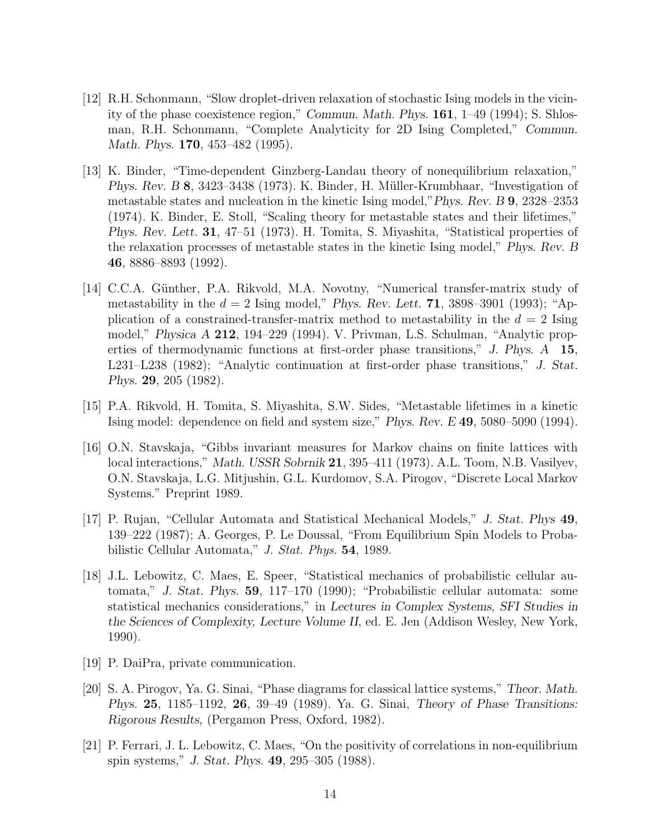- <span id="page-13-0"></span>[12] R.H. Schonmann, "Slow droplet-driven relaxation of stochastic Ising models in the vicinity of the phase coexistence region," *Commun. Math. Phys.* 161, 1–49 (1994); S. Shlosman, R.H. Schonmann, "Complete Analyticity for 2D Ising Completed," *Commun. Math. Phys.* 170, 453–482 (1995).
- [13] K. Binder, "Time-dependent Ginzberg-Landau theory of nonequilibrium relaxation," *Phys. Rev. B* 8, 3423–3438 (1973). K. Binder, H. Müller-Krumbhaar, "Investigation of metastable states and nucleation in the kinetic Ising model,"*Phys. Rev. B* 9, 2328–2353 (1974). K. Binder, E. Stoll, "Scaling theory for metastable states and their lifetimes," *Phys. Rev. Lett.* 31, 47–51 (1973). H. Tomita, S. Miyashita, "Statistical properties of the relaxation processes of metastable states in the kinetic Ising model," *Phys. Rev. B* 46, 8886–8893 (1992).
- [14] C.C.A. Günther, P.A. Rikvold, M.A. Novotny, "Numerical transfer-matrix study of metastability in the  $d = 2$  Ising model," *Phys. Rev. Lett.* **71**, 3898–3901 (1993); "Application of a constrained-transfer-matrix method to metastability in the  $d = 2$  Ising model," *Physica A* 212, 194–229 (1994). V. Privman, L.S. Schulman, "Analytic properties of thermodynamic functions at first-order phase transitions," *J. Phys. A* 15, L231–L238 (1982); "Analytic continuation at first-order phase transitions," *J. Stat. Phys.* 29, 205 (1982).
- [15] P.A. Rikvold, H. Tomita, S. Miyashita, S.W. Sides, "Metastable lifetimes in a kinetic Ising model: dependence on field and system size," *Phys. Rev. E* 49, 5080–5090 (1994).
- [16] O.N. Stavskaja, "Gibbs invariant measures for Markov chains on finite lattices with local interactions," *Math. USSR Sobrnik* 21, 395–411 (1973). A.L. Toom, N.B. Vasilyev, O.N. Stavskaja, L.G. Mitjushin, G.L. Kurdomov, S.A. Pirogov, "Discrete Local Markov Systems." Preprint 1989.
- [17] P. Rujan, "Cellular Automata and Statistical Mechanical Models," *J. Stat. Phys* 49, 139–222 (1987); A. Georges, P. Le Doussal, "From Equilibrium Spin Models to Probabilistic Cellular Automata," J. Stat. Phys. 54, 1989.
- [18] J.L. Lebowitz, C. Maes, E. Speer, "Statistical mechanics of probabilistic cellular automata," *J. Stat. Phys.* 59, 117–170 (1990); "Probabilistic cellular automata: some statistical mechanics considerations," in *Lectures in Complex Systems, SFI Studies in the Sciences of Complexity, Lecture Volume II*, ed. E. Jen (Addison Wesley, New York, 1990).
- [19] P. DaiPra, private communication.
- [20] S. A. Pirogov, Ya. G. Sinai, "Phase diagrams for classical lattice systems," *Theor. Math. Phys.* 25, 1185–1192, 26, 39–49 (1989). Ya. G. Sinai, *Theory of Phase Transitions: Rigorous Results,* (Pergamon Press, Oxford, 1982).
- [21] P. Ferrari, J. L. Lebowitz, C. Maes, "On the positivity of correlations in non-equilibrium spin systems," *J. Stat. Phys.* 49, 295–305 (1988).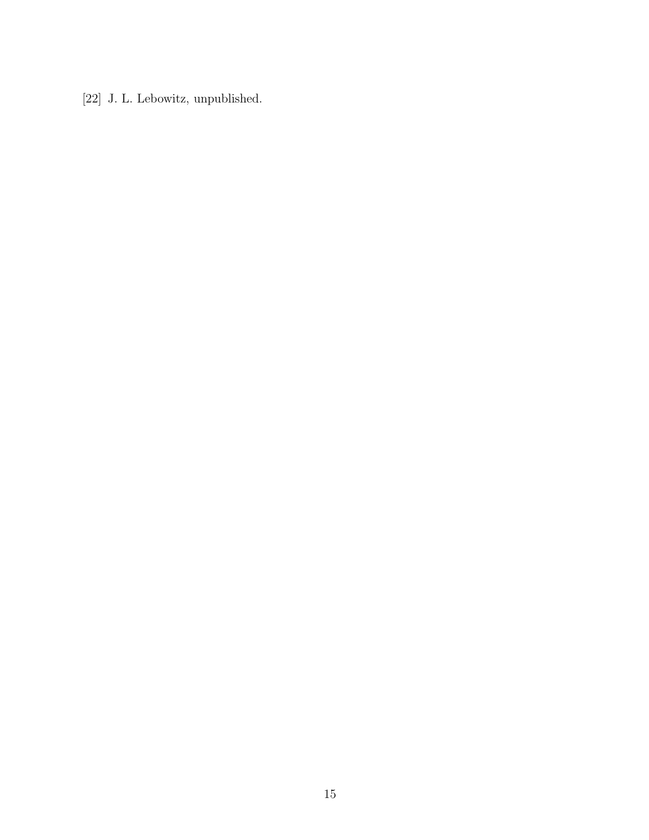<span id="page-14-0"></span>[22] J. L. Lebowitz, unpublished.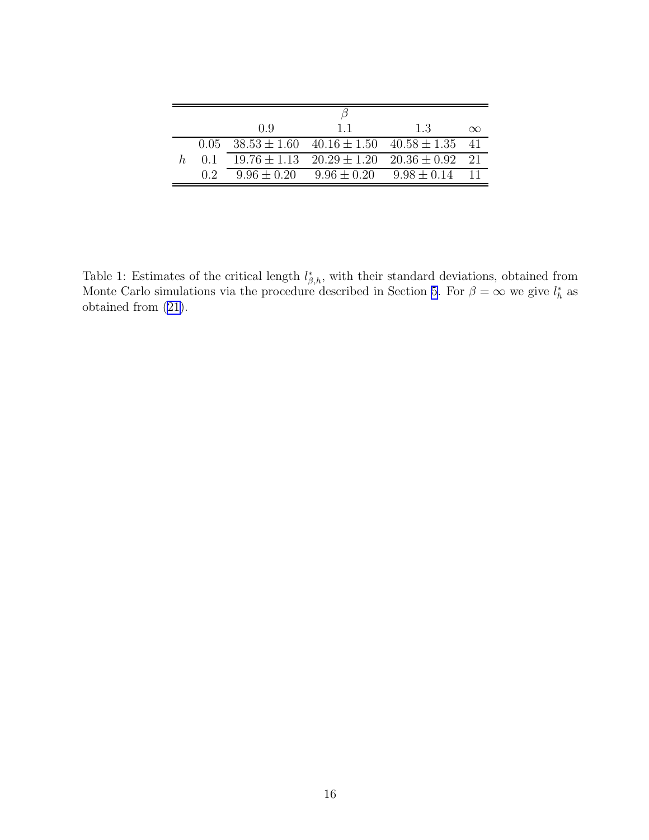<span id="page-15-0"></span>

|    |     | 0.9 | 11                                                                             | -1.3               | $\infty$ |
|----|-----|-----|--------------------------------------------------------------------------------|--------------------|----------|
|    |     |     | $0.05 \quad 38.53 \pm 1.60 \quad 40.16 \pm 1.50 \quad 40.58 \pm 1.35 \quad 41$ |                    |          |
| h. | 0.1 |     | $19.76 \pm 1.13$ $20.29 \pm 1.20$ $20.36 \pm 0.92$ 21                          |                    |          |
|    | 02  |     | $9.96 \pm 0.20$ $9.96 \pm 0.20$                                                | $9.98 \pm 0.14$ 11 |          |

Table 1: Estimates of the critical length  $l_{\beta,h}^*$ , with their standard deviations, obtained from Monte Carlo simulations via the procedure described in Section [5.](#page-8-0) For  $\beta = \infty$  we give  $l_h^*$  as obtained from [\(21\)](#page-8-0).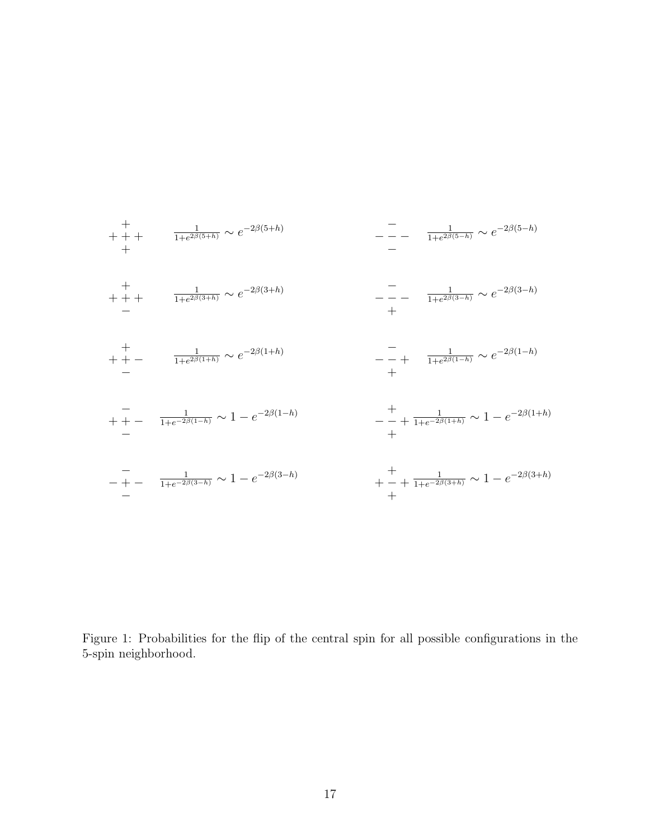<span id="page-16-0"></span>+ + + + + 1 1+e <sup>2</sup>β(5+h) ∼ e −2β(5+h) − − − − − 1 1+e <sup>2</sup>β(5−h) ∼ e −2β(5−h) − + + + + 1 1+e <sup>2</sup>β(3+h) ∼ e −2β(3+h) + − − − − 1 1+e <sup>2</sup>β(3−h) ∼ e −2β(3−h) − + + + − 1 1+e <sup>2</sup>β(1+h) ∼ e −2β(1+h) + − − − + 1 1+e <sup>2</sup>β(1−h) ∼ e −2β(1−h) − + + − − 1 1+e−2β(1−h) ∼ 1 − e −2β(1−h) + − − + + 1 1+e−2β(1+h) ∼ 1 − e −2β(1+h) − − + − − 1 1+e−2β(3−h) ∼ 1 − e −2β(3−h) + + − + + 1 1+e−2β(3+h) ∼ 1 − e −2β(3+h)

Figure 1: Probabilities for the flip of the central spin for all possible configurations in the 5-spin neighborhood.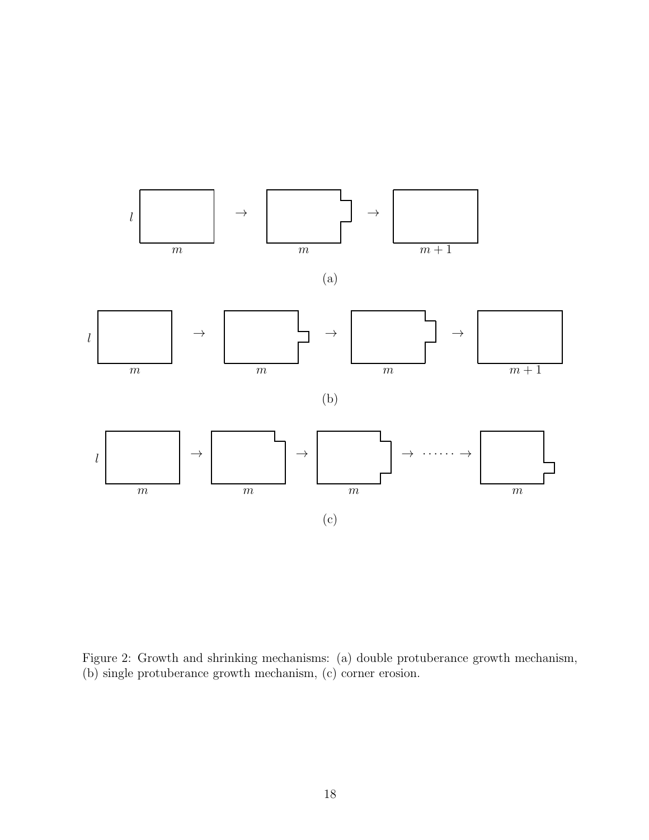<span id="page-17-0"></span>

Figure 2: Growth and shrinking mechanisms: (a) double protuberance growth mechanism, (b) single protuberance growth mechanism, (c) corner erosion.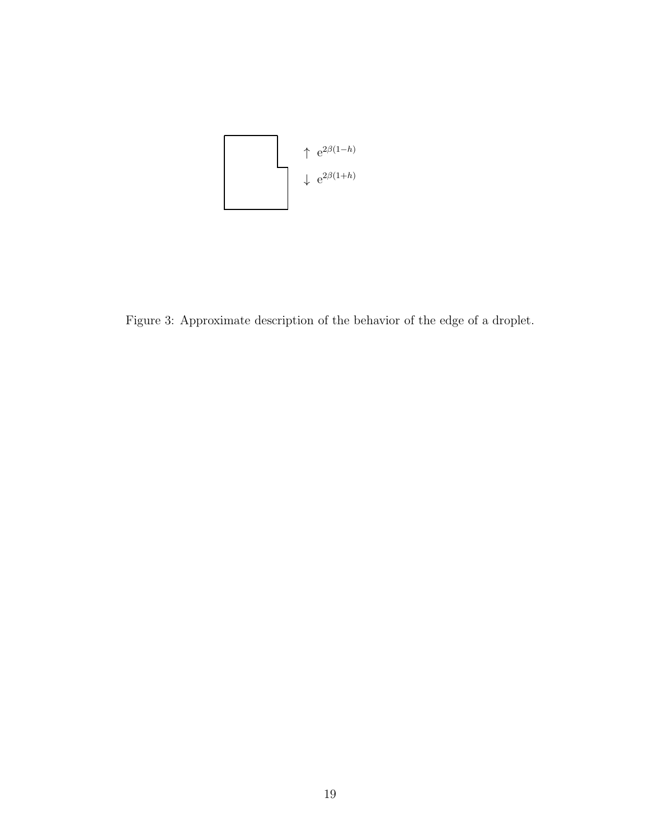<span id="page-18-0"></span>

Figure 3: Approximate description of the behavior of the edge of a droplet.